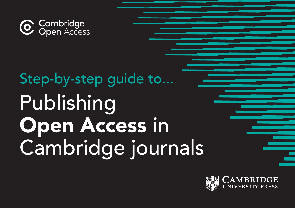

# Step-by-step guide to... Publishing Open Access in Cambridge journals

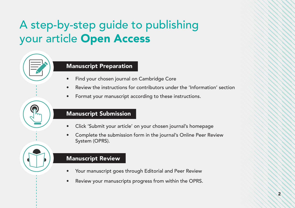## A step-by-step guide to publishing your article Open Access

#### Manuscript Preparation

- Find your chosen journal on Cambridge Core
- Review the instructions for contributors under the 'Information' section
- Format your manuscript according to these instructions.

#### Manuscript Submission

- Click 'Submit your article' on your chosen journal's homepage
- Complete the submission form in the journal's Online Peer Review System (OPRS).

#### Manuscript Review

- Your manuscript goes through Editorial and Peer Review
- Review your manuscripts progress from within the OPRS.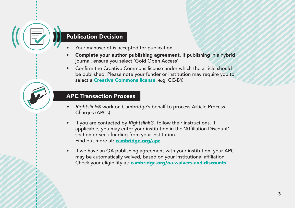#### Publication Decision

- Your manuscript is accepted for publication
- Complete your author publishing agreement. If publishing in a hybrid journal, ensure you select 'Gold Open Access'.
- Confirm the Creative Commons license under which the article should be published. Please note your funder or institution may require you to select a **[Creative Commons license](https://www.cambridge.org/core/services/open-access-policies/open-access-resources/creative-commons-licenses )**, e.g. CC-BY.

#### APC Transaction Process

- *• Rightslink®* work on Cambridge's behalf to process Article Process Charges (APCs)
- If you are contacted by *Rightslink®*, follow their instructions. If applicable, you may enter your institution in the 'Affiliation Discount' section or seek funding from your institution. Find out more at: [cambridge.org/apc](http://cambridge.org/apc)
- If we have an OA publishing agreement with your institution, your APC may be automatically waived, based on your institutional affiliation. Check your eligibility at: [cambridge.org/oa-waivers-and-discounts](http://cambridge.org/oa-waivers-and-discounts)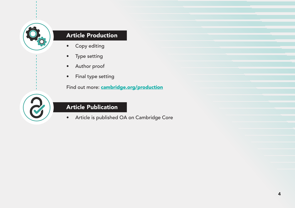

#### Article Production

- Copy editing
- Type setting
- Author proof
- Final type setting

Find out more: **[cambridge.org/production](http://cambridge.org/production)** 

#### Article Publication

• Article is published OA on Cambridge Core